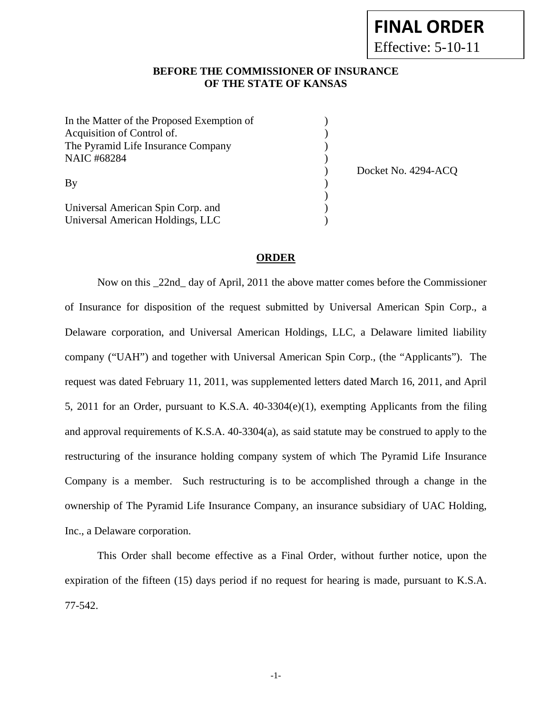## **FINAL ORDER**

Effective: 5-10-11

## **BEFORE THE COMMISSIONER OF INSURANCE OF THE STATE OF KANSAS**

| In the Matter of the Proposed Exemption of<br>Acquisition of Control of. |                     |
|--------------------------------------------------------------------------|---------------------|
| The Pyramid Life Insurance Company                                       |                     |
| <b>NAIC #68284</b>                                                       |                     |
|                                                                          | Docket No. 4294-ACQ |
| By                                                                       |                     |
|                                                                          |                     |
| Universal American Spin Corp. and                                        |                     |
| Universal American Holdings, LLC                                         |                     |

## **ORDER**

 Now on this \_22nd\_ day of April, 2011 the above matter comes before the Commissioner of Insurance for disposition of the request submitted by Universal American Spin Corp., a Delaware corporation, and Universal American Holdings, LLC, a Delaware limited liability company ("UAH") and together with Universal American Spin Corp., (the "Applicants"). The request was dated February 11, 2011, was supplemented letters dated March 16, 2011, and April 5, 2011 for an Order, pursuant to K.S.A. 40-3304(e)(1), exempting Applicants from the filing and approval requirements of K.S.A. 40-3304(a), as said statute may be construed to apply to the restructuring of the insurance holding company system of which The Pyramid Life Insurance Company is a member. Such restructuring is to be accomplished through a change in the ownership of The Pyramid Life Insurance Company, an insurance subsidiary of UAC Holding, Inc., a Delaware corporation.

 This Order shall become effective as a Final Order, without further notice, upon the expiration of the fifteen (15) days period if no request for hearing is made, pursuant to K.S.A. 77-542.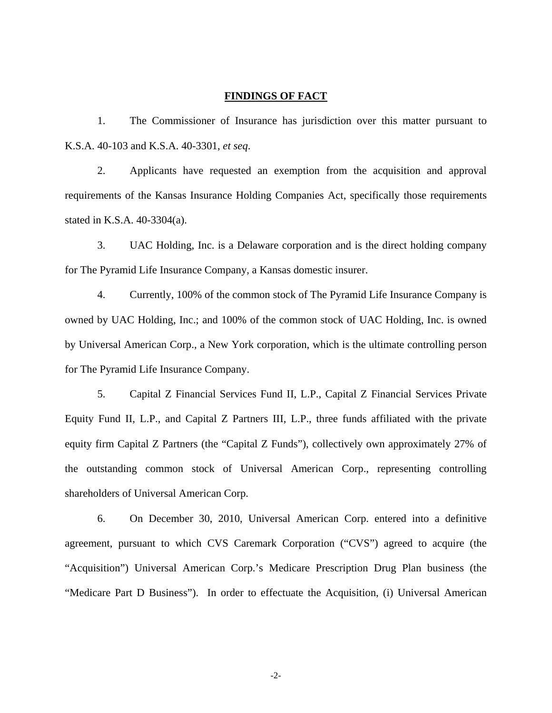## **FINDINGS OF FACT**

1. The Commissioner of Insurance has jurisdiction over this matter pursuant to K.S.A. 40-103 and K.S.A. 40-3301, *et seq*.

2. Applicants have requested an exemption from the acquisition and approval requirements of the Kansas Insurance Holding Companies Act, specifically those requirements stated in K.S.A. 40-3304(a).

3. UAC Holding, Inc. is a Delaware corporation and is the direct holding company for The Pyramid Life Insurance Company, a Kansas domestic insurer.

4. Currently, 100% of the common stock of The Pyramid Life Insurance Company is owned by UAC Holding, Inc.; and 100% of the common stock of UAC Holding, Inc. is owned by Universal American Corp., a New York corporation, which is the ultimate controlling person for The Pyramid Life Insurance Company.

5. Capital Z Financial Services Fund II, L.P., Capital Z Financial Services Private Equity Fund II, L.P., and Capital Z Partners III, L.P., three funds affiliated with the private equity firm Capital Z Partners (the "Capital Z Funds"), collectively own approximately 27% of the outstanding common stock of Universal American Corp., representing controlling shareholders of Universal American Corp.

6. On December 30, 2010, Universal American Corp. entered into a definitive agreement, pursuant to which CVS Caremark Corporation ("CVS") agreed to acquire (the "Acquisition") Universal American Corp.'s Medicare Prescription Drug Plan business (the "Medicare Part D Business"). In order to effectuate the Acquisition, (i) Universal American

-2-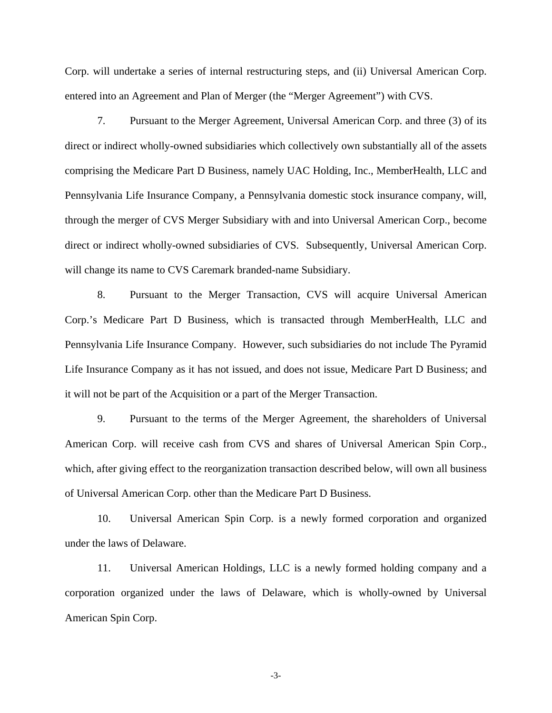Corp. will undertake a series of internal restructuring steps, and (ii) Universal American Corp. entered into an Agreement and Plan of Merger (the "Merger Agreement") with CVS.

7. Pursuant to the Merger Agreement, Universal American Corp. and three (3) of its direct or indirect wholly-owned subsidiaries which collectively own substantially all of the assets comprising the Medicare Part D Business, namely UAC Holding, Inc., MemberHealth, LLC and Pennsylvania Life Insurance Company, a Pennsylvania domestic stock insurance company, will, through the merger of CVS Merger Subsidiary with and into Universal American Corp., become direct or indirect wholly-owned subsidiaries of CVS. Subsequently, Universal American Corp. will change its name to CVS Caremark branded-name Subsidiary.

8. Pursuant to the Merger Transaction, CVS will acquire Universal American Corp.'s Medicare Part D Business, which is transacted through MemberHealth, LLC and Pennsylvania Life Insurance Company. However, such subsidiaries do not include The Pyramid Life Insurance Company as it has not issued, and does not issue, Medicare Part D Business; and it will not be part of the Acquisition or a part of the Merger Transaction.

9. Pursuant to the terms of the Merger Agreement, the shareholders of Universal American Corp. will receive cash from CVS and shares of Universal American Spin Corp., which, after giving effect to the reorganization transaction described below, will own all business of Universal American Corp. other than the Medicare Part D Business.

10. Universal American Spin Corp. is a newly formed corporation and organized under the laws of Delaware.

11. Universal American Holdings, LLC is a newly formed holding company and a corporation organized under the laws of Delaware, which is wholly-owned by Universal American Spin Corp.

-3-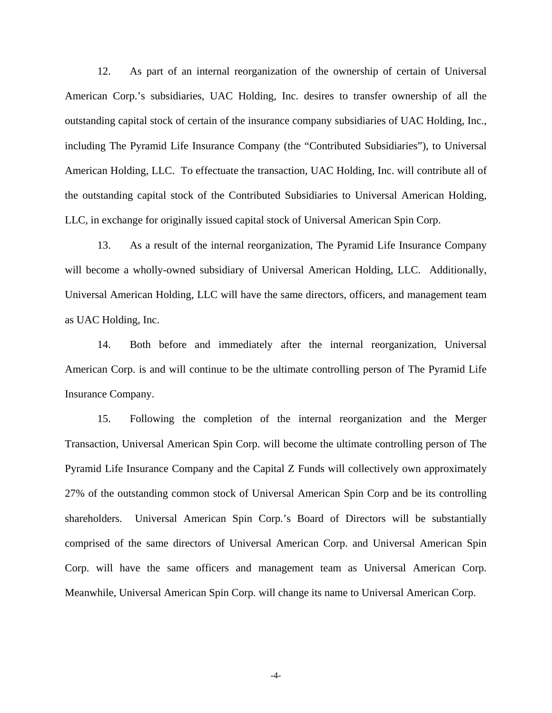12. As part of an internal reorganization of the ownership of certain of Universal American Corp.'s subsidiaries, UAC Holding, Inc. desires to transfer ownership of all the outstanding capital stock of certain of the insurance company subsidiaries of UAC Holding, Inc., including The Pyramid Life Insurance Company (the "Contributed Subsidiaries"), to Universal American Holding, LLC. To effectuate the transaction, UAC Holding, Inc. will contribute all of the outstanding capital stock of the Contributed Subsidiaries to Universal American Holding, LLC, in exchange for originally issued capital stock of Universal American Spin Corp.

13. As a result of the internal reorganization, The Pyramid Life Insurance Company will become a wholly-owned subsidiary of Universal American Holding, LLC. Additionally, Universal American Holding, LLC will have the same directors, officers, and management team as UAC Holding, Inc.

14. Both before and immediately after the internal reorganization, Universal American Corp. is and will continue to be the ultimate controlling person of The Pyramid Life Insurance Company.

15. Following the completion of the internal reorganization and the Merger Transaction, Universal American Spin Corp. will become the ultimate controlling person of The Pyramid Life Insurance Company and the Capital Z Funds will collectively own approximately 27% of the outstanding common stock of Universal American Spin Corp and be its controlling shareholders. Universal American Spin Corp.'s Board of Directors will be substantially comprised of the same directors of Universal American Corp. and Universal American Spin Corp. will have the same officers and management team as Universal American Corp. Meanwhile, Universal American Spin Corp. will change its name to Universal American Corp.

-4-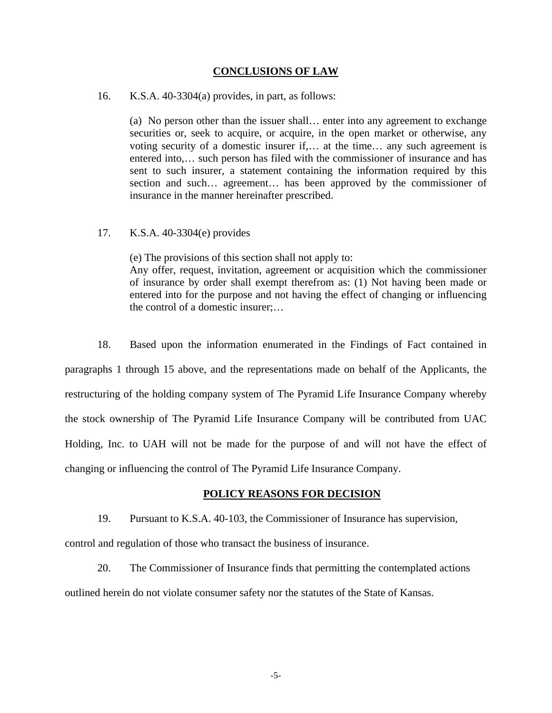## **CONCLUSIONS OF LAW**

## 16. K.S.A. 40-3304(a) provides, in part, as follows:

(a) No person other than the issuer shall… enter into any agreement to exchange securities or, seek to acquire, or acquire, in the open market or otherwise, any voting security of a domestic insurer if,… at the time… any such agreement is entered into,… such person has filed with the commissioner of insurance and has sent to such insurer, a statement containing the information required by this section and such… agreement… has been approved by the commissioner of insurance in the manner hereinafter prescribed.

## 17. K.S.A. 40-3304(e) provides

(e) The provisions of this section shall not apply to: Any offer, request, invitation, agreement or acquisition which the commissioner of insurance by order shall exempt therefrom as: (1) Not having been made or entered into for the purpose and not having the effect of changing or influencing the control of a domestic insurer;…

18. Based upon the information enumerated in the Findings of Fact contained in paragraphs 1 through 15 above, and the representations made on behalf of the Applicants, the restructuring of the holding company system of The Pyramid Life Insurance Company whereby the stock ownership of The Pyramid Life Insurance Company will be contributed from UAC Holding, Inc. to UAH will not be made for the purpose of and will not have the effect of changing or influencing the control of The Pyramid Life Insurance Company.

#### **POLICY REASONS FOR DECISION**

19. Pursuant to K.S.A. 40-103, the Commissioner of Insurance has supervision,

control and regulation of those who transact the business of insurance.

20. The Commissioner of Insurance finds that permitting the contemplated actions outlined herein do not violate consumer safety nor the statutes of the State of Kansas.

-5-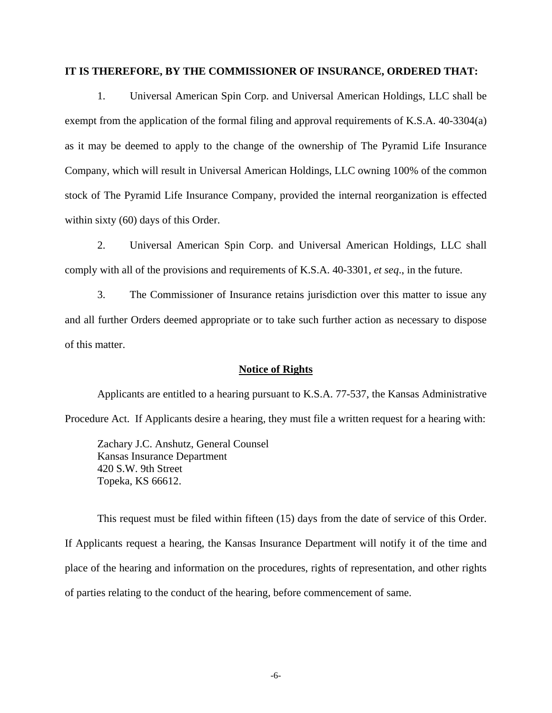#### **IT IS THEREFORE, BY THE COMMISSIONER OF INSURANCE, ORDERED THAT:**

1. Universal American Spin Corp. and Universal American Holdings, LLC shall be exempt from the application of the formal filing and approval requirements of K.S.A. 40-3304(a) as it may be deemed to apply to the change of the ownership of The Pyramid Life Insurance Company, which will result in Universal American Holdings, LLC owning 100% of the common stock of The Pyramid Life Insurance Company, provided the internal reorganization is effected within sixty (60) days of this Order.

2. Universal American Spin Corp. and Universal American Holdings, LLC shall comply with all of the provisions and requirements of K.S.A. 40-3301, *et seq*., in the future.

3. The Commissioner of Insurance retains jurisdiction over this matter to issue any and all further Orders deemed appropriate or to take such further action as necessary to dispose of this matter.

#### **Notice of Rights**

Applicants are entitled to a hearing pursuant to K.S.A. 77-537, the Kansas Administrative Procedure Act. If Applicants desire a hearing, they must file a written request for a hearing with:

Zachary J.C. Anshutz, General Counsel Kansas Insurance Department 420 S.W. 9th Street Topeka, KS 66612.

This request must be filed within fifteen (15) days from the date of service of this Order. If Applicants request a hearing, the Kansas Insurance Department will notify it of the time and place of the hearing and information on the procedures, rights of representation, and other rights of parties relating to the conduct of the hearing, before commencement of same.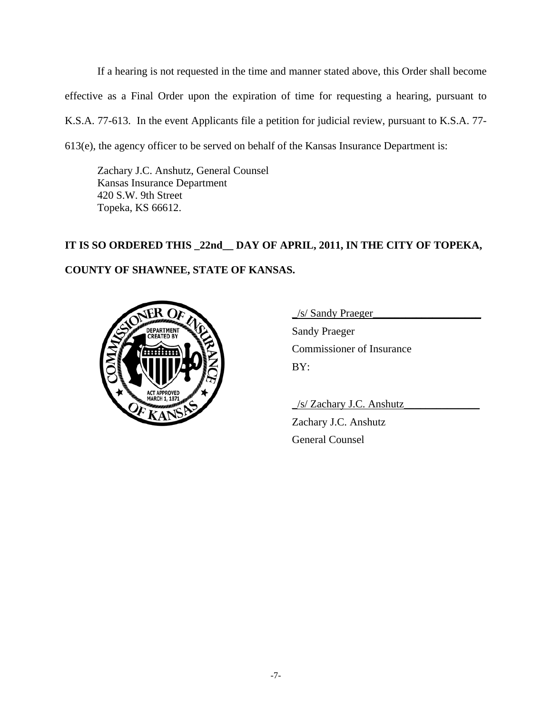If a hearing is not requested in the time and manner stated above, this Order shall become effective as a Final Order upon the expiration of time for requesting a hearing, pursuant to K.S.A. 77-613. In the event Applicants file a petition for judicial review, pursuant to K.S.A. 77- 613(e), the agency officer to be served on behalf of the Kansas Insurance Department is:

Zachary J.C. Anshutz, General Counsel Kansas Insurance Department 420 S.W. 9th Street Topeka, KS 66612.

# **IT IS SO ORDERED THIS \_22nd\_\_ DAY OF APRIL, 2011, IN THE CITY OF TOPEKA, COUNTY OF SHAWNEE, STATE OF KANSAS.**



\_/s/ Sandy Praeger\_\_\_\_\_\_\_\_\_\_\_\_\_\_\_\_\_\_\_\_

Sandy Praeger Commissioner of Insurance BY:

\_/s/ Zachary J.C. Anshutz\_\_\_\_\_\_\_\_\_\_\_\_\_\_

Zachary J.C. Anshutz General Counsel